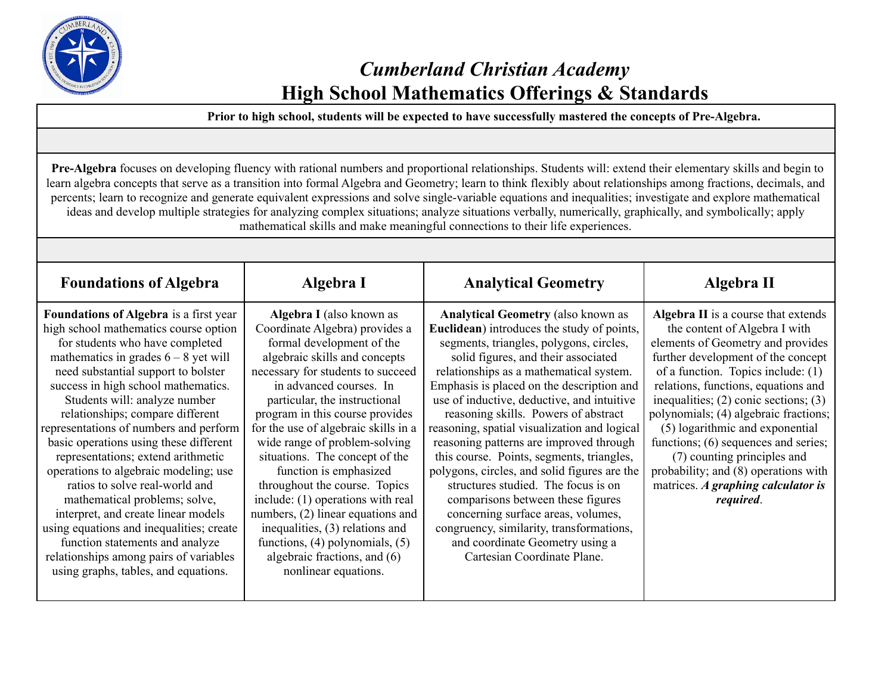

# *Cumberland Christian Academy* **High School Mathematics Offerings & Standards**

**Prior to high school, students will be expected to have successfully mastered the concepts of Pre-Algebra.**

**Pre-Algebra** focuses on developing fluency with rational numbers and proportional relationships. Students will: extend their elementary skills and begin to learn algebra concepts that serve as a transition into formal Algebra and Geometry; learn to think flexibly about relationships among fractions, decimals, and percents; learn to recognize and generate equivalent expressions and solve single-variable equations and inequalities; investigate and explore mathematical ideas and develop multiple strategies for analyzing complex situations; analyze situations verbally, numerically, graphically, and symbolically; apply mathematical skills and make meaningful connections to their life experiences.

| <b>Foundations of Algebra</b>                                                                                                                                                                                                                                                                                                                                                                                                                                                                                                                                                                                                                                                                                                                                        | Algebra I                                                                                                                                                                                                                                                                                                                                                                                                                                                                                                                                                                                                                                      | <b>Analytical Geometry</b>                                                                                                                                                                                                                                                                                                                                                                                                                                                                                                                                                                                                                                                                                                                                                              | Algebra II                                                                                                                                                                                                                                                                                                                                                                                                                                                                                                                |
|----------------------------------------------------------------------------------------------------------------------------------------------------------------------------------------------------------------------------------------------------------------------------------------------------------------------------------------------------------------------------------------------------------------------------------------------------------------------------------------------------------------------------------------------------------------------------------------------------------------------------------------------------------------------------------------------------------------------------------------------------------------------|------------------------------------------------------------------------------------------------------------------------------------------------------------------------------------------------------------------------------------------------------------------------------------------------------------------------------------------------------------------------------------------------------------------------------------------------------------------------------------------------------------------------------------------------------------------------------------------------------------------------------------------------|-----------------------------------------------------------------------------------------------------------------------------------------------------------------------------------------------------------------------------------------------------------------------------------------------------------------------------------------------------------------------------------------------------------------------------------------------------------------------------------------------------------------------------------------------------------------------------------------------------------------------------------------------------------------------------------------------------------------------------------------------------------------------------------------|---------------------------------------------------------------------------------------------------------------------------------------------------------------------------------------------------------------------------------------------------------------------------------------------------------------------------------------------------------------------------------------------------------------------------------------------------------------------------------------------------------------------------|
| <b>Foundations of Algebra</b> is a first year<br>high school mathematics course option<br>for students who have completed<br>mathematics in grades $6 - 8$ yet will<br>need substantial support to bolster<br>success in high school mathematics.<br>Students will: analyze number<br>relationships; compare different<br>representations of numbers and perform<br>basic operations using these different<br>representations; extend arithmetic<br>operations to algebraic modeling; use<br>ratios to solve real-world and<br>mathematical problems; solve,<br>interpret, and create linear models<br>using equations and inequalities; create<br>function statements and analyze<br>relationships among pairs of variables<br>using graphs, tables, and equations. | Algebra I (also known as<br>Coordinate Algebra) provides a<br>formal development of the<br>algebraic skills and concepts<br>necessary for students to succeed<br>in advanced courses. In<br>particular, the instructional<br>program in this course provides<br>for the use of algebraic skills in a<br>wide range of problem-solving<br>situations. The concept of the<br>function is emphasized<br>throughout the course. Topics<br>include: (1) operations with real<br>numbers, (2) linear equations and<br>inequalities, (3) relations and<br>functions, $(4)$ polynomials, $(5)$<br>algebraic fractions, and (6)<br>nonlinear equations. | <b>Analytical Geometry (also known as</b><br><b>Euclidean</b> ) introduces the study of points,<br>segments, triangles, polygons, circles,<br>solid figures, and their associated<br>relationships as a mathematical system.<br>Emphasis is placed on the description and<br>use of inductive, deductive, and intuitive<br>reasoning skills. Powers of abstract<br>reasoning, spatial visualization and logical<br>reasoning patterns are improved through<br>this course. Points, segments, triangles,<br>polygons, circles, and solid figures are the<br>structures studied. The focus is on<br>comparisons between these figures<br>concerning surface areas, volumes,<br>congruency, similarity, transformations,<br>and coordinate Geometry using a<br>Cartesian Coordinate Plane. | Algebra II is a course that extends<br>the content of Algebra I with<br>elements of Geometry and provides<br>further development of the concept<br>of a function. Topics include: $(1)$<br>relations, functions, equations and<br>inequalities; $(2)$ conic sections; $(3)$<br>polynomials; (4) algebraic fractions;<br>(5) logarithmic and exponential<br>functions; (6) sequences and series;<br>(7) counting principles and<br>probability; and (8) operations with<br>matrices. A graphing calculator is<br>required. |
|                                                                                                                                                                                                                                                                                                                                                                                                                                                                                                                                                                                                                                                                                                                                                                      |                                                                                                                                                                                                                                                                                                                                                                                                                                                                                                                                                                                                                                                |                                                                                                                                                                                                                                                                                                                                                                                                                                                                                                                                                                                                                                                                                                                                                                                         |                                                                                                                                                                                                                                                                                                                                                                                                                                                                                                                           |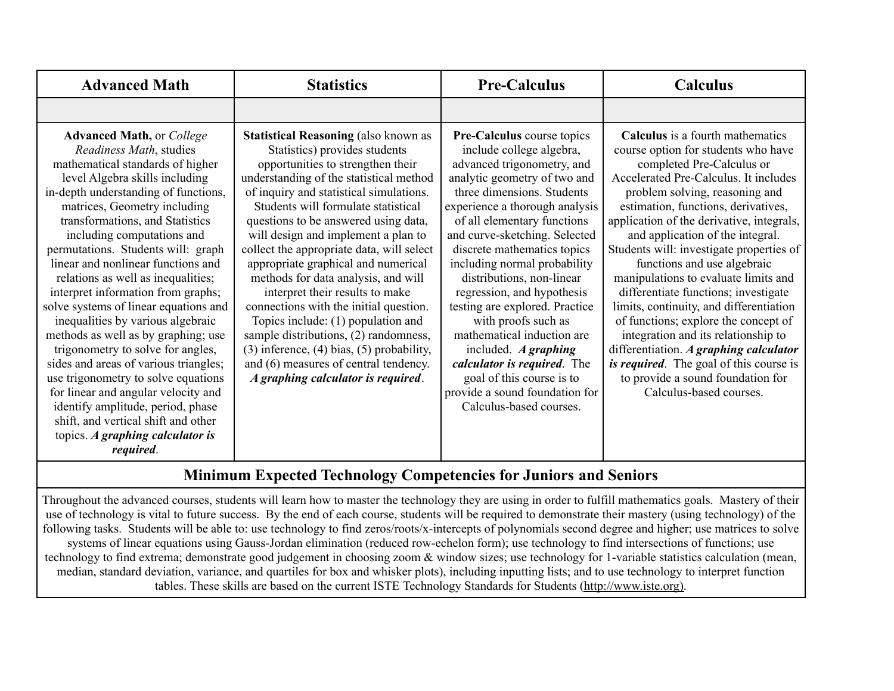| <b>Advanced Math</b>                                                                                                                                                                                                                                                                                                                                                                                                                                                                                                                                                                                                                                                                                                                                                                                                                                    | <b>Statistics</b>                                                                                                                                                                                                                                                                                                                                                                                                                                                                                                                                                                                                                                                                                                                                        | <b>Pre-Calculus</b>                                                                                                                                                                                                                                                                                                                                                                                                                                                                                                                                                                                                                   | Calculus                                                                                                                                                                                                                                                                                                                                                                                                                                                                                                                                                                                                                                                                                                                                                 |
|---------------------------------------------------------------------------------------------------------------------------------------------------------------------------------------------------------------------------------------------------------------------------------------------------------------------------------------------------------------------------------------------------------------------------------------------------------------------------------------------------------------------------------------------------------------------------------------------------------------------------------------------------------------------------------------------------------------------------------------------------------------------------------------------------------------------------------------------------------|----------------------------------------------------------------------------------------------------------------------------------------------------------------------------------------------------------------------------------------------------------------------------------------------------------------------------------------------------------------------------------------------------------------------------------------------------------------------------------------------------------------------------------------------------------------------------------------------------------------------------------------------------------------------------------------------------------------------------------------------------------|---------------------------------------------------------------------------------------------------------------------------------------------------------------------------------------------------------------------------------------------------------------------------------------------------------------------------------------------------------------------------------------------------------------------------------------------------------------------------------------------------------------------------------------------------------------------------------------------------------------------------------------|----------------------------------------------------------------------------------------------------------------------------------------------------------------------------------------------------------------------------------------------------------------------------------------------------------------------------------------------------------------------------------------------------------------------------------------------------------------------------------------------------------------------------------------------------------------------------------------------------------------------------------------------------------------------------------------------------------------------------------------------------------|
|                                                                                                                                                                                                                                                                                                                                                                                                                                                                                                                                                                                                                                                                                                                                                                                                                                                         |                                                                                                                                                                                                                                                                                                                                                                                                                                                                                                                                                                                                                                                                                                                                                          |                                                                                                                                                                                                                                                                                                                                                                                                                                                                                                                                                                                                                                       |                                                                                                                                                                                                                                                                                                                                                                                                                                                                                                                                                                                                                                                                                                                                                          |
| <b>Advanced Math, or College</b><br>Readiness Math, studies<br>mathematical standards of higher<br>level Algebra skills including<br>in-depth understanding of functions,<br>matrices, Geometry including<br>transformations, and Statistics<br>including computations and<br>permutations. Students will: graph<br>linear and nonlinear functions and<br>relations as well as inequalities;<br>interpret information from graphs;<br>solve systems of linear equations and<br>inequalities by various algebraic<br>methods as well as by graphing; use<br>trigonometry to solve for angles,<br>sides and areas of various triangles;<br>use trigonometry to solve equations<br>for linear and angular velocity and<br>identify amplitude, period, phase<br>shift, and vertical shift and other<br>topics. A graphing calculator is<br><i>required.</i> | <b>Statistical Reasoning (also known as</b><br>Statistics) provides students<br>opportunities to strengthen their<br>understanding of the statistical method<br>of inquiry and statistical simulations.<br>Students will formulate statistical<br>questions to be answered using data,<br>will design and implement a plan to<br>collect the appropriate data, will select<br>appropriate graphical and numerical<br>methods for data analysis, and will<br>interpret their results to make<br>connections with the initial question.<br>Topics include: $(1)$ population and<br>sample distributions, (2) randomness,<br>$(3)$ inference, $(4)$ bias, $(5)$ probability,<br>and (6) measures of central tendency.<br>A graphing calculator is required. | Pre-Calculus course topics<br>include college algebra,<br>advanced trigonometry, and<br>analytic geometry of two and<br>three dimensions. Students<br>experience a thorough analysis<br>of all elementary functions<br>and curve-sketching. Selected<br>discrete mathematics topics<br>including normal probability<br>distributions, non-linear<br>regression, and hypothesis<br>testing are explored. Practice<br>with proofs such as<br>mathematical induction are<br>included. $\boldsymbol{A}$ graphing<br>calculator is required. The<br>goal of this course is to<br>provide a sound foundation for<br>Calculus-based courses. | Calculus is a fourth mathematics<br>course option for students who have<br>completed Pre-Calculus or<br>Accelerated Pre-Calculus. It includes<br>problem solving, reasoning and<br>estimation, functions, derivatives,<br>application of the derivative, integrals,<br>and application of the integral.<br>Students will: investigate properties of<br>functions and use algebraic<br>manipulations to evaluate limits and<br>differentiate functions; investigate<br>limits, continuity, and differentiation<br>of functions; explore the concept of<br>integration and its relationship to<br>differentiation. A graphing calculator<br><i>is required.</i> The goal of this course is<br>to provide a sound foundation for<br>Calculus-based courses. |

### **Minimum Expected Technology Competencies for Juniors and Seniors**

Throughout the advanced courses, students will learn how to master the technology they are using in order to fulfill mathematics goals. Mastery of their use of technology is vital to future success. By the end of each course, students will be required to demonstrate their mastery (using technology) of the following tasks. Students will be able to: use technology to find zeros/roots/x-intercepts of polynomials second degree and higher; use matrices to solve systems of linear equations using Gauss-Jordan elimination (reduced row-echelon form); use technology to find intersections of functions; use technology to find extrema; demonstrate good judgement in choosing zoom & window sizes; use technology for 1-variable statistics calculation (mean, median, standard deviation, variance, and quartiles for box and whisker plots), including inputting lists; and to use technology to interpret function tables. These skills are based on the current ISTE Technology Standards for Students (http://www.iste.org).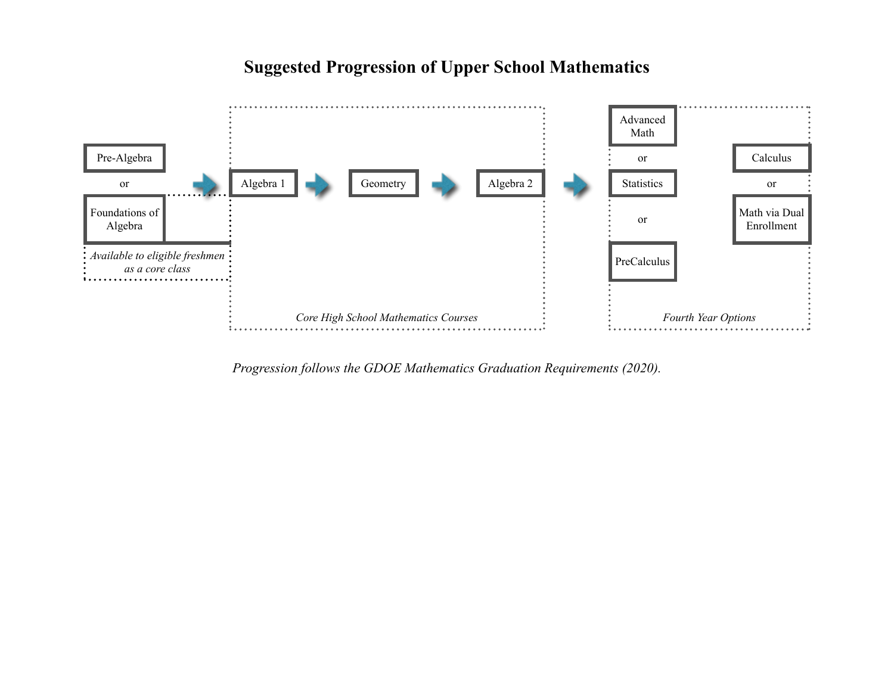### Advanced Math Pre-Algebra calculus is the calculus of the calculus in the calculus of the calculus of the calculus of the calculus of the calculus of the calculus of the calculus of the calculus of the calculus of the calculus of the ca or **Algebra 1** Algebra 1 Geometry **Algebra 2** Algebra 2 Statistics or Foundations of Math via Dual or Enrollment Algebra *Available to eligible freshmen* PreCalculus *as a core class* . . . . . . . . . . *Core* High School Mathematics Courses  $\cdot$   $\cdot$  *Fourth Year Options*

### **Suggested Progression of Upper School Mathematics**

*Progression follows the GDOE Mathematics Graduation Requirements (2020).*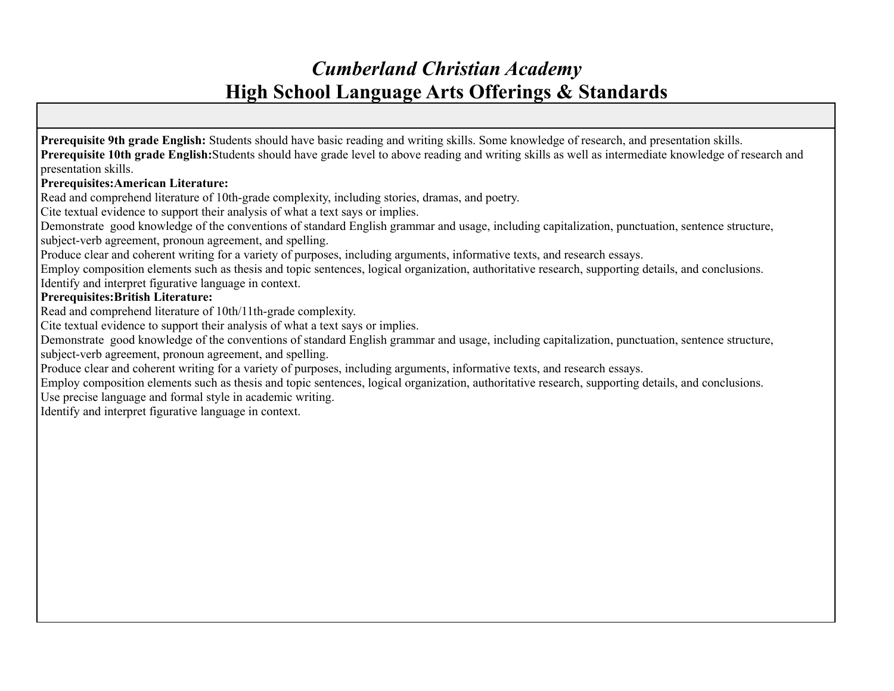### *Cumberland Christian Academy* **High School Language Arts Offerings & Standards**

**Prerequisite 9th grade English:** Students should have basic reading and writing skills. Some knowledge of research, and presentation skills. **Prerequisite 10th grade English:**Students should have grade level to above reading and writing skills as well as intermediate knowledge of research and presentation skills.

#### **Prerequisites:American Literature:**

Read and comprehend literature of 10th-grade complexity, including stories, dramas, and poetry.

Cite textual evidence to support their analysis of what a text says or implies.

Demonstrate good knowledge of the conventions of standard English grammar and usage, including capitalization, punctuation, sentence structure, subject-verb agreement, pronoun agreement, and spelling.

Produce clear and coherent writing for a variety of purposes, including arguments, informative texts, and research essays.

Employ composition elements such as thesis and topic sentences, logical organization, authoritative research, supporting details, and conclusions. Identify and interpret figurative language in context.

#### **Prerequisites:British Literature:**

Read and comprehend literature of 10th/11th-grade complexity.

Cite textual evidence to support their analysis of what a text says or implies.

Demonstrate good knowledge of the conventions of standard English grammar and usage, including capitalization, punctuation, sentence structure, subject-verb agreement, pronoun agreement, and spelling.

Produce clear and coherent writing for a variety of purposes, including arguments, informative texts, and research essays.

Employ composition elements such as thesis and topic sentences, logical organization, authoritative research, supporting details, and conclusions. Use precise language and formal style in academic writing.

Identify and interpret figurative language in context.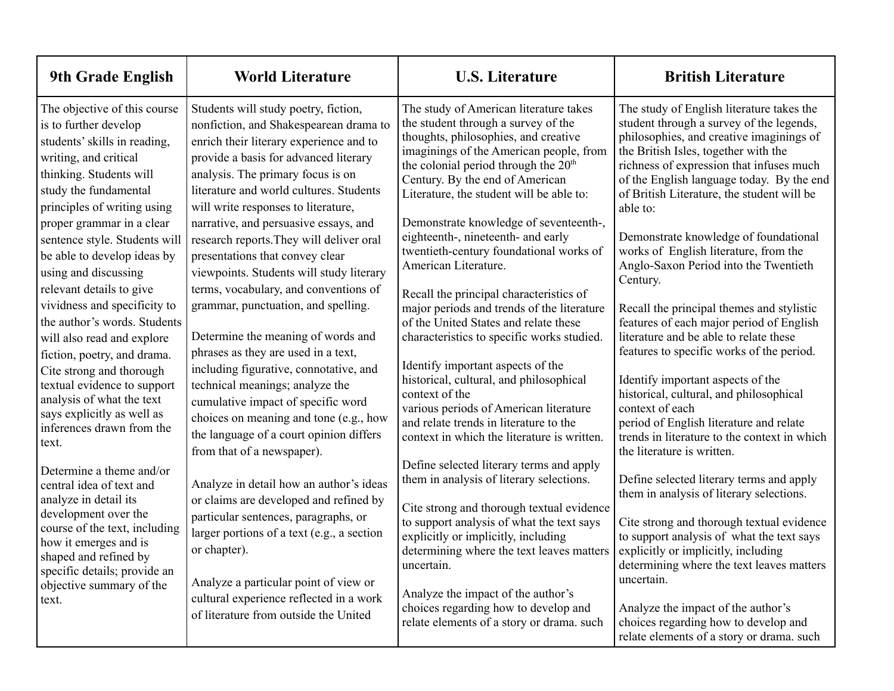| 9th Grade English                                                                                                                                                                                                                                                                                                                                                                                                                                                                                                                                                                                                                                                                                                                                                                                              | <b>World Literature</b>                                                                                                                                                                                                                                                                                                                                                                                                                                                                                                                                                                                                                                                                                                                                                                                                                                                                                                                                                                                                                                     | <b>U.S. Literature</b>                                                                                                                                                                                                                                                                                                                                                                                                                                                                                                                                                                                                                                                                                                                                                                                                                                                                                                                                                                                                                                                                                                                            | <b>British Literature</b>                                                                                                                                                                                                                                                                                                                                                                                                                                                                                                                                                                                                                                                                                                                                                                                                                                                                                                                                                                                                                                                                                |
|----------------------------------------------------------------------------------------------------------------------------------------------------------------------------------------------------------------------------------------------------------------------------------------------------------------------------------------------------------------------------------------------------------------------------------------------------------------------------------------------------------------------------------------------------------------------------------------------------------------------------------------------------------------------------------------------------------------------------------------------------------------------------------------------------------------|-------------------------------------------------------------------------------------------------------------------------------------------------------------------------------------------------------------------------------------------------------------------------------------------------------------------------------------------------------------------------------------------------------------------------------------------------------------------------------------------------------------------------------------------------------------------------------------------------------------------------------------------------------------------------------------------------------------------------------------------------------------------------------------------------------------------------------------------------------------------------------------------------------------------------------------------------------------------------------------------------------------------------------------------------------------|---------------------------------------------------------------------------------------------------------------------------------------------------------------------------------------------------------------------------------------------------------------------------------------------------------------------------------------------------------------------------------------------------------------------------------------------------------------------------------------------------------------------------------------------------------------------------------------------------------------------------------------------------------------------------------------------------------------------------------------------------------------------------------------------------------------------------------------------------------------------------------------------------------------------------------------------------------------------------------------------------------------------------------------------------------------------------------------------------------------------------------------------------|----------------------------------------------------------------------------------------------------------------------------------------------------------------------------------------------------------------------------------------------------------------------------------------------------------------------------------------------------------------------------------------------------------------------------------------------------------------------------------------------------------------------------------------------------------------------------------------------------------------------------------------------------------------------------------------------------------------------------------------------------------------------------------------------------------------------------------------------------------------------------------------------------------------------------------------------------------------------------------------------------------------------------------------------------------------------------------------------------------|
| The objective of this course<br>is to further develop<br>students' skills in reading,<br>writing, and critical<br>thinking. Students will<br>study the fundamental<br>principles of writing using<br>proper grammar in a clear<br>sentence style. Students will<br>be able to develop ideas by<br>using and discussing<br>relevant details to give<br>vividness and specificity to<br>the author's words. Students<br>will also read and explore<br>fiction, poetry, and drama.<br>Cite strong and thorough<br>textual evidence to support<br>analysis of what the text<br>says explicitly as well as<br>inferences drawn from the<br>text.<br>Determine a theme and/or<br>central idea of text and<br>analyze in detail its<br>development over the<br>course of the text, including<br>how it emerges and is | Students will study poetry, fiction,<br>nonfiction, and Shakespearean drama to<br>enrich their literary experience and to<br>provide a basis for advanced literary<br>analysis. The primary focus is on<br>literature and world cultures. Students<br>will write responses to literature,<br>narrative, and persuasive essays, and<br>research reports. They will deliver oral<br>presentations that convey clear<br>viewpoints. Students will study literary<br>terms, vocabulary, and conventions of<br>grammar, punctuation, and spelling.<br>Determine the meaning of words and<br>phrases as they are used in a text,<br>including figurative, connotative, and<br>technical meanings; analyze the<br>cumulative impact of specific word<br>choices on meaning and tone (e.g., how<br>the language of a court opinion differs<br>from that of a newspaper).<br>Analyze in detail how an author's ideas<br>or claims are developed and refined by<br>particular sentences, paragraphs, or<br>larger portions of a text (e.g., a section<br>or chapter). | The study of American literature takes<br>the student through a survey of the<br>thoughts, philosophies, and creative<br>imaginings of the American people, from<br>the colonial period through the 20 <sup>th</sup><br>Century. By the end of American<br>Literature, the student will be able to:<br>Demonstrate knowledge of seventeenth-,<br>eighteenth-, nineteenth- and early<br>twentieth-century foundational works of<br>American Literature.<br>Recall the principal characteristics of<br>major periods and trends of the literature<br>of the United States and relate these<br>characteristics to specific works studied.<br>Identify important aspects of the<br>historical, cultural, and philosophical<br>context of the<br>various periods of American literature<br>and relate trends in literature to the<br>context in which the literature is written.<br>Define selected literary terms and apply<br>them in analysis of literary selections.<br>Cite strong and thorough textual evidence<br>to support analysis of what the text says<br>explicitly or implicitly, including<br>determining where the text leaves matters | The study of English literature takes the<br>student through a survey of the legends,<br>philosophies, and creative imaginings of<br>the British Isles, together with the<br>richness of expression that infuses much<br>of the English language today. By the end<br>of British Literature, the student will be<br>able to:<br>Demonstrate knowledge of foundational<br>works of English literature, from the<br>Anglo-Saxon Period into the Twentieth<br>Century.<br>Recall the principal themes and stylistic<br>features of each major period of English<br>literature and be able to relate these<br>features to specific works of the period.<br>Identify important aspects of the<br>historical, cultural, and philosophical<br>context of each<br>period of English literature and relate<br>trends in literature to the context in which<br>the literature is written.<br>Define selected literary terms and apply<br>them in analysis of literary selections.<br>Cite strong and thorough textual evidence<br>to support analysis of what the text says<br>explicitly or implicitly, including |
| shaped and refined by<br>specific details; provide an<br>objective summary of the<br>text.                                                                                                                                                                                                                                                                                                                                                                                                                                                                                                                                                                                                                                                                                                                     | Analyze a particular point of view or<br>cultural experience reflected in a work<br>of literature from outside the United                                                                                                                                                                                                                                                                                                                                                                                                                                                                                                                                                                                                                                                                                                                                                                                                                                                                                                                                   | uncertain.<br>Analyze the impact of the author's<br>choices regarding how to develop and<br>relate elements of a story or drama. such                                                                                                                                                                                                                                                                                                                                                                                                                                                                                                                                                                                                                                                                                                                                                                                                                                                                                                                                                                                                             | determining where the text leaves matters<br>uncertain.<br>Analyze the impact of the author's<br>choices regarding how to develop and<br>relate elements of a story or drama. such                                                                                                                                                                                                                                                                                                                                                                                                                                                                                                                                                                                                                                                                                                                                                                                                                                                                                                                       |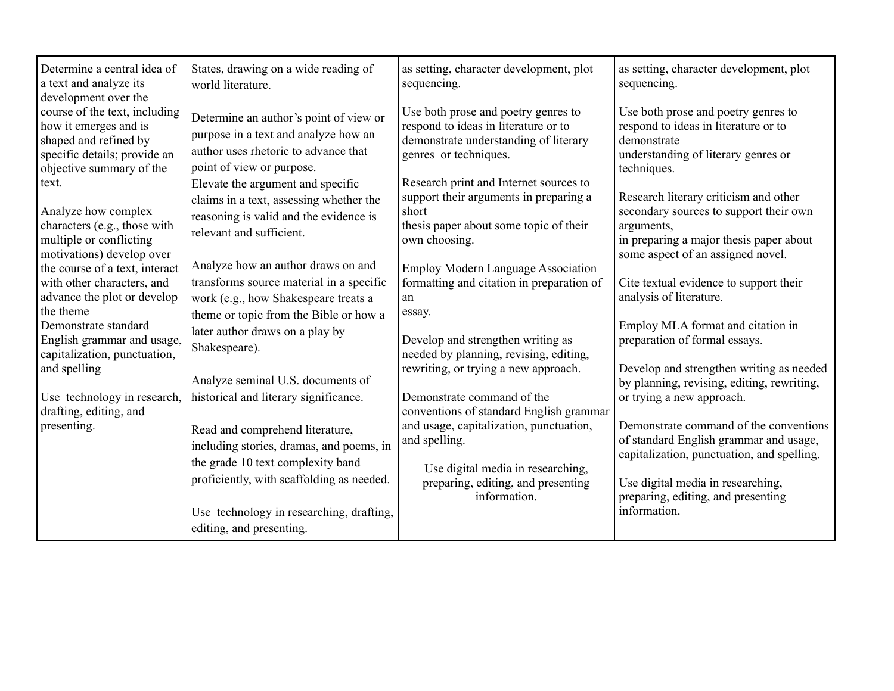| Determine a central idea of<br>a text and analyze its<br>development over the                                                                                                                                  | States, drawing on a wide reading of<br>world literature.                                                                                                                                                                                   | as setting, character development, plot<br>sequencing.                                                                                                                                                                        | as setting, character development, plot<br>sequencing.                                                                                                                                                                                                                               |
|----------------------------------------------------------------------------------------------------------------------------------------------------------------------------------------------------------------|---------------------------------------------------------------------------------------------------------------------------------------------------------------------------------------------------------------------------------------------|-------------------------------------------------------------------------------------------------------------------------------------------------------------------------------------------------------------------------------|--------------------------------------------------------------------------------------------------------------------------------------------------------------------------------------------------------------------------------------------------------------------------------------|
| course of the text, including<br>how it emerges and is<br>shaped and refined by<br>specific details; provide an<br>objective summary of the                                                                    | Determine an author's point of view or<br>purpose in a text and analyze how an<br>author uses rhetoric to advance that<br>point of view or purpose.                                                                                         | Use both prose and poetry genres to<br>respond to ideas in literature or to<br>demonstrate understanding of literary<br>genres or techniques.                                                                                 | Use both prose and poetry genres to<br>respond to ideas in literature or to<br>demonstrate<br>understanding of literary genres or<br>techniques.                                                                                                                                     |
| text.<br>Analyze how complex<br>characters (e.g., those with<br>multiple or conflicting<br>motivations) develop over                                                                                           | Elevate the argument and specific<br>claims in a text, assessing whether the<br>reasoning is valid and the evidence is<br>relevant and sufficient.                                                                                          | Research print and Internet sources to<br>support their arguments in preparing a<br>short<br>thesis paper about some topic of their<br>own choosing.                                                                          | Research literary criticism and other<br>secondary sources to support their own<br>arguments,<br>in preparing a major thesis paper about<br>some aspect of an assigned novel.                                                                                                        |
| the course of a text, interact<br>with other characters, and<br>advance the plot or develop<br>the theme<br>Demonstrate standard<br>English grammar and usage,<br>capitalization, punctuation,<br>and spelling | Analyze how an author draws on and<br>transforms source material in a specific<br>work (e.g., how Shakespeare treats a<br>theme or topic from the Bible or how a<br>later author draws on a play by<br>Shakespeare).                        | <b>Employ Modern Language Association</b><br>formatting and citation in preparation of<br>an<br>essay.<br>Develop and strengthen writing as<br>needed by planning, revising, editing,<br>rewriting, or trying a new approach. | Cite textual evidence to support their<br>analysis of literature.<br>Employ MLA format and citation in<br>preparation of formal essays.<br>Develop and strengthen writing as needed                                                                                                  |
| Use technology in research,<br>drafting, editing, and<br>presenting.                                                                                                                                           | Analyze seminal U.S. documents of<br>historical and literary significance.<br>Read and comprehend literature,<br>including stories, dramas, and poems, in<br>the grade 10 text complexity band<br>proficiently, with scaffolding as needed. | Demonstrate command of the<br>conventions of standard English grammar<br>and usage, capitalization, punctuation,<br>and spelling.<br>Use digital media in researching,<br>preparing, editing, and presenting<br>information.  | by planning, revising, editing, rewriting,<br>or trying a new approach.<br>Demonstrate command of the conventions<br>of standard English grammar and usage,<br>capitalization, punctuation, and spelling.<br>Use digital media in researching,<br>preparing, editing, and presenting |
|                                                                                                                                                                                                                | Use technology in researching, drafting,<br>editing, and presenting.                                                                                                                                                                        |                                                                                                                                                                                                                               | information.                                                                                                                                                                                                                                                                         |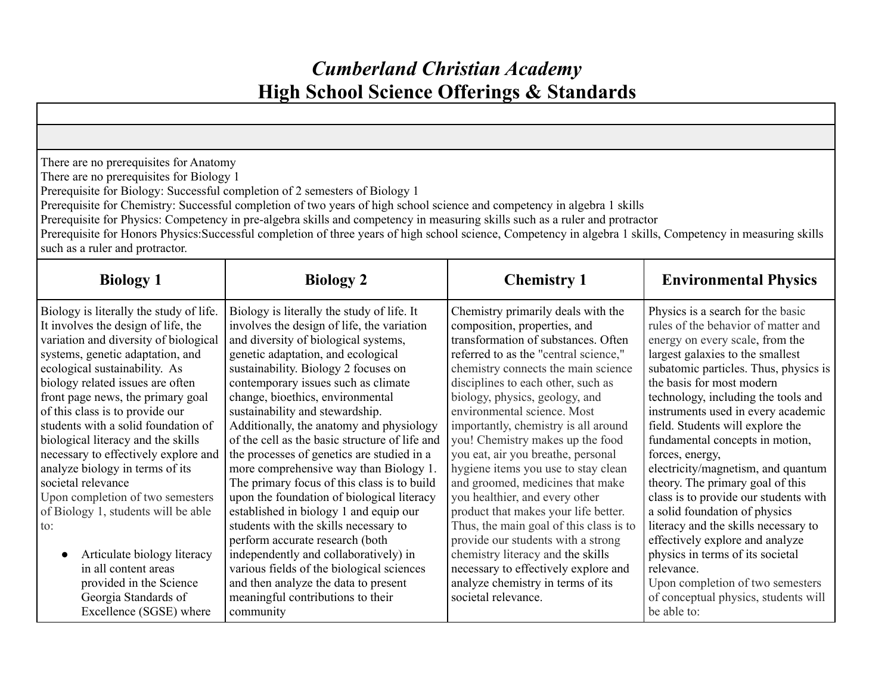# *Cumberland Christian Academy* **High School Science Offerings & Standards**

| There are no prerequisites for Anatomy<br>There are no prerequisites for Biology 1<br>Prerequisite for Biology: Successful completion of 2 semesters of Biology 1<br>Prerequisite for Chemistry: Successful completion of two years of high school science and competency in algebra 1 skills<br>Prerequisite for Physics: Competency in pre-algebra skills and competency in measuring skills such as a ruler and protractor<br>Prerequisite for Honors Physics:Successful completion of three years of high school science, Competency in algebra 1 skills, Competency in measuring skills<br>such as a ruler and protractor.                                                                               |                                                                                                                                                                                                                                                                                                                                                                                                                                                                                                                                                                                                                                                                                                                                                                                                                                                                                                                       |                                                                                                                                                                                                                                                                                                                                                                                                                                                                                                                                                                                                                                                                                                                                                                                                   |                                                                                                                                                                                                                                                                                                                                                                                                                                                                                                                                                                                                                                                                                                                                                                          |  |
|---------------------------------------------------------------------------------------------------------------------------------------------------------------------------------------------------------------------------------------------------------------------------------------------------------------------------------------------------------------------------------------------------------------------------------------------------------------------------------------------------------------------------------------------------------------------------------------------------------------------------------------------------------------------------------------------------------------|-----------------------------------------------------------------------------------------------------------------------------------------------------------------------------------------------------------------------------------------------------------------------------------------------------------------------------------------------------------------------------------------------------------------------------------------------------------------------------------------------------------------------------------------------------------------------------------------------------------------------------------------------------------------------------------------------------------------------------------------------------------------------------------------------------------------------------------------------------------------------------------------------------------------------|---------------------------------------------------------------------------------------------------------------------------------------------------------------------------------------------------------------------------------------------------------------------------------------------------------------------------------------------------------------------------------------------------------------------------------------------------------------------------------------------------------------------------------------------------------------------------------------------------------------------------------------------------------------------------------------------------------------------------------------------------------------------------------------------------|--------------------------------------------------------------------------------------------------------------------------------------------------------------------------------------------------------------------------------------------------------------------------------------------------------------------------------------------------------------------------------------------------------------------------------------------------------------------------------------------------------------------------------------------------------------------------------------------------------------------------------------------------------------------------------------------------------------------------------------------------------------------------|--|
| <b>Biology 1</b>                                                                                                                                                                                                                                                                                                                                                                                                                                                                                                                                                                                                                                                                                              | <b>Biology 2</b>                                                                                                                                                                                                                                                                                                                                                                                                                                                                                                                                                                                                                                                                                                                                                                                                                                                                                                      | <b>Chemistry 1</b>                                                                                                                                                                                                                                                                                                                                                                                                                                                                                                                                                                                                                                                                                                                                                                                | <b>Environmental Physics</b>                                                                                                                                                                                                                                                                                                                                                                                                                                                                                                                                                                                                                                                                                                                                             |  |
| Biology is literally the study of life.<br>It involves the design of life, the<br>variation and diversity of biological<br>systems, genetic adaptation, and<br>ecological sustainability. As<br>biology related issues are often<br>front page news, the primary goal<br>of this class is to provide our<br>students with a solid foundation of<br>biological literacy and the skills<br>necessary to effectively explore and<br>analyze biology in terms of its<br>societal relevance<br>Upon completion of two semesters<br>of Biology 1, students will be able<br>to:<br>Articulate biology literacy<br>in all content areas<br>provided in the Science<br>Georgia Standards of<br>Excellence (SGSE) where | Biology is literally the study of life. It<br>involves the design of life, the variation<br>and diversity of biological systems,<br>genetic adaptation, and ecological<br>sustainability. Biology 2 focuses on<br>contemporary issues such as climate<br>change, bioethics, environmental<br>sustainability and stewardship.<br>Additionally, the anatomy and physiology<br>of the cell as the basic structure of life and<br>the processes of genetics are studied in a<br>more comprehensive way than Biology 1.<br>The primary focus of this class is to build<br>upon the foundation of biological literacy<br>established in biology 1 and equip our<br>students with the skills necessary to<br>perform accurate research (both<br>independently and collaboratively) in<br>various fields of the biological sciences<br>and then analyze the data to present<br>meaningful contributions to their<br>community | Chemistry primarily deals with the<br>composition, properties, and<br>transformation of substances. Often<br>referred to as the "central science,"<br>chemistry connects the main science<br>disciplines to each other, such as<br>biology, physics, geology, and<br>environmental science. Most<br>importantly, chemistry is all around<br>you! Chemistry makes up the food<br>you eat, air you breathe, personal<br>hygiene items you use to stay clean<br>and groomed, medicines that make<br>you healthier, and every other<br>product that makes your life better.<br>Thus, the main goal of this class is to<br>provide our students with a strong<br>chemistry literacy and the skills<br>necessary to effectively explore and<br>analyze chemistry in terms of its<br>societal relevance. | Physics is a search for the basic<br>rules of the behavior of matter and<br>energy on every scale, from the<br>largest galaxies to the smallest<br>subatomic particles. Thus, physics is<br>the basis for most modern<br>technology, including the tools and<br>instruments used in every academic<br>field. Students will explore the<br>fundamental concepts in motion,<br>forces, energy,<br>electricity/magnetism, and quantum<br>theory. The primary goal of this<br>class is to provide our students with<br>a solid foundation of physics<br>literacy and the skills necessary to<br>effectively explore and analyze<br>physics in terms of its societal<br>relevance.<br>Upon completion of two semesters<br>of conceptual physics, students will<br>be able to: |  |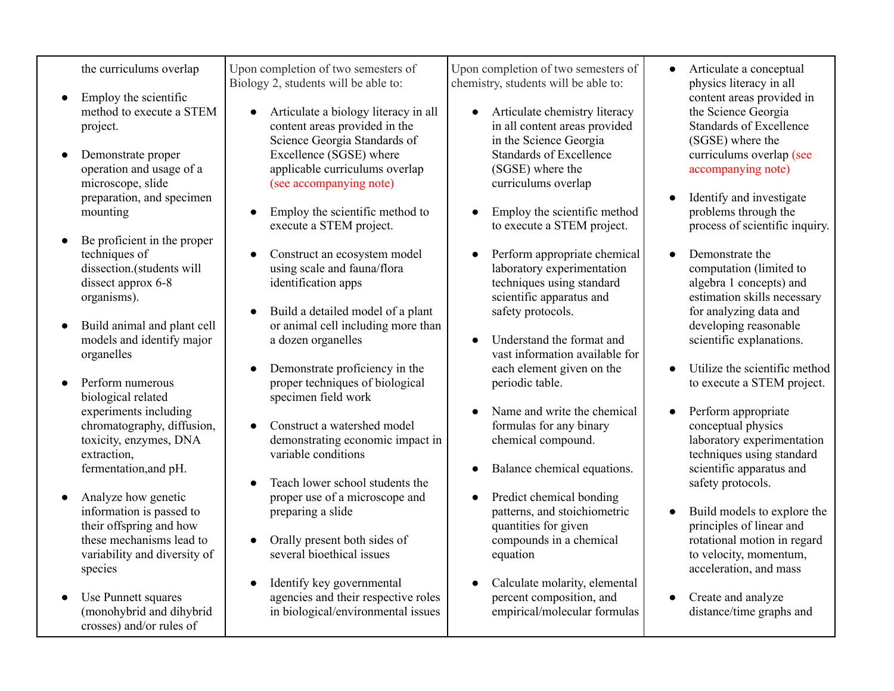the curriculums overlap

- Employ the scientific method to execute a STEM project.
- Demonstrate proper operation and usage of a microscope, slide preparation, and specimen mounting
- Be proficient in the proper techniques of dissection.(students will dissect approx 6-8 organisms).
- Build animal and plant cell models and identify major organelles
- Perform numerous biological related experiments including chromatography, diffusion, toxicity, enzymes, DNA extraction, fermentation,and pH.
- Analyze how genetic information is passed to their offspring and how these mechanisms lead to variability and diversity of species
- Use Punnett squares (monohybrid and dihybrid crosses) and/or rules of

Upon completion of two semesters of Biology 2, students will be able to:

- Articulate a biology literacy in all content areas provided in the Science Georgia Standards of Excellence (SGSE) where applicable curriculums overlap (see accompanying note)
- Employ the scientific method to execute a STEM project.
- Construct an ecosystem model using scale and fauna/flora identification apps
- Build a detailed model of a plant or animal cell including more than a dozen organelles
- Demonstrate proficiency in the proper techniques of biological specimen field work
- Construct a watershed model demonstrating economic impact in variable conditions
- Teach lower school students the proper use of a microscope and preparing a slide
- Orally present both sides of several bioethical issues
- Identify key governmental agencies and their respective roles in biological/environmental issues

Upon completion of two semesters of chemistry, students will be able to:

- Articulate chemistry literacy in all content areas provided in the Science Georgia Standards of Excellence (SGSE) where the curriculums overlap
- Employ the scientific method to execute a STEM project.
- Perform appropriate chemical laboratory experimentation techniques using standard scientific apparatus and safety protocols.
- Understand the format and vast information available for each element given on the periodic table.
- Name and write the chemical formulas for any binary chemical compound.
- Balance chemical equations.
- Predict chemical bonding patterns, and stoichiometric quantities for given compounds in a chemical equation
- Calculate molarity, elemental percent composition, and empirical/molecular formulas
- Articulate a conceptual physics literacy in all content areas provided in the Science Georgia Standards of Excellence (SGSE) where the curriculums overlap (see accompanying note)
- Identify and investigate problems through the process of scientific inquiry.
- Demonstrate the computation (limited to algebra 1 concepts) and estimation skills necessary for analyzing data and developing reasonable scientific explanations.
- Utilize the scientific method to execute a STEM project.
- Perform appropriate conceptual physics laboratory experimentation techniques using standard scientific apparatus and safety protocols.
- Build models to explore the principles of linear and rotational motion in regard to velocity, momentum, acceleration, and mass
- Create and analyze distance/time graphs and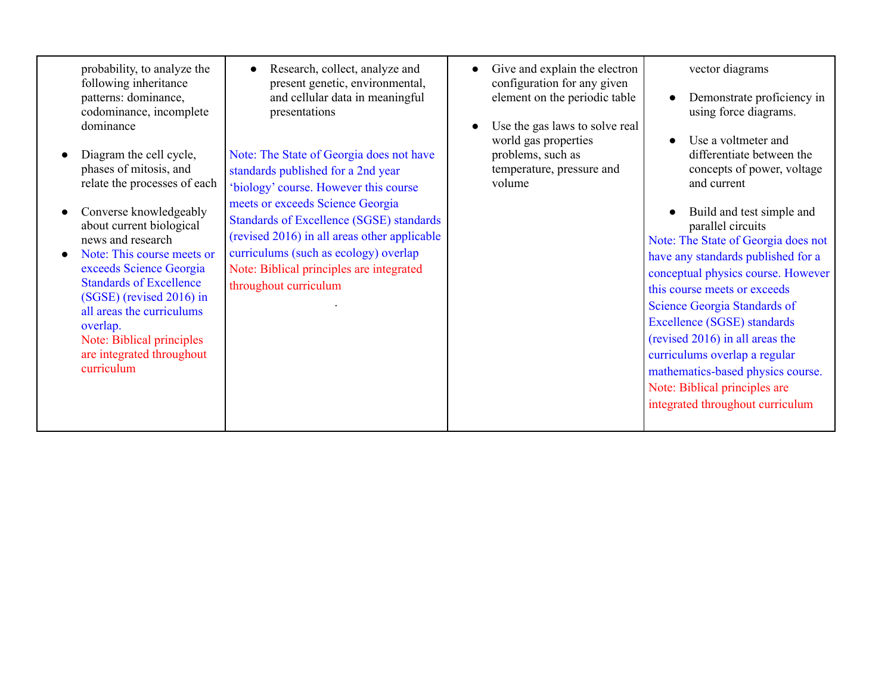| probability, to analyze the<br>following inheritance<br>patterns: dominance,<br>codominance, incomplete<br>dominance<br>Diagram the cell cycle,<br>phases of mitosis, and<br>relate the processes of each<br>Converse knowledgeably<br>about current biological<br>news and research<br>Note: This course meets or<br>exceeds Science Georgia<br><b>Standards of Excellence</b><br>(SGSE) (revised 2016) in<br>all areas the curriculums<br>overlap.<br>Note: Biblical principles<br>are integrated throughout<br>curriculum | Research, collect, analyze and<br>present genetic, environmental,<br>and cellular data in meaningful<br>presentations<br>Note: The State of Georgia does not have<br>standards published for a 2nd year<br>'biology' course. However this course<br>meets or exceeds Science Georgia<br><b>Standards of Excellence (SGSE) standards</b><br>(revised 2016) in all areas other applicable<br>curriculums (such as ecology) overlap<br>Note: Biblical principles are integrated<br>throughout curriculum | Give and explain the electron<br>configuration for any given<br>element on the periodic table<br>Use the gas laws to solve real<br>world gas properties<br>problems, such as<br>temperature, pressure and<br>volume | vector diagrams<br>Demonstrate proficiency in<br>using force diagrams.<br>Use a voltmeter and<br>differentiate between the<br>concepts of power, voltage<br>and current<br>Build and test simple and<br>parallel circuits<br>Note: The State of Georgia does not<br>have any standards published for a<br>conceptual physics course. However<br>this course meets or exceeds<br>Science Georgia Standards of<br>Excellence (SGSE) standards<br>(revised 2016) in all areas the<br>curriculums overlap a regular<br>mathematics-based physics course.<br>Note: Biblical principles are<br>integrated throughout curriculum |
|------------------------------------------------------------------------------------------------------------------------------------------------------------------------------------------------------------------------------------------------------------------------------------------------------------------------------------------------------------------------------------------------------------------------------------------------------------------------------------------------------------------------------|-------------------------------------------------------------------------------------------------------------------------------------------------------------------------------------------------------------------------------------------------------------------------------------------------------------------------------------------------------------------------------------------------------------------------------------------------------------------------------------------------------|---------------------------------------------------------------------------------------------------------------------------------------------------------------------------------------------------------------------|---------------------------------------------------------------------------------------------------------------------------------------------------------------------------------------------------------------------------------------------------------------------------------------------------------------------------------------------------------------------------------------------------------------------------------------------------------------------------------------------------------------------------------------------------------------------------------------------------------------------------|
|------------------------------------------------------------------------------------------------------------------------------------------------------------------------------------------------------------------------------------------------------------------------------------------------------------------------------------------------------------------------------------------------------------------------------------------------------------------------------------------------------------------------------|-------------------------------------------------------------------------------------------------------------------------------------------------------------------------------------------------------------------------------------------------------------------------------------------------------------------------------------------------------------------------------------------------------------------------------------------------------------------------------------------------------|---------------------------------------------------------------------------------------------------------------------------------------------------------------------------------------------------------------------|---------------------------------------------------------------------------------------------------------------------------------------------------------------------------------------------------------------------------------------------------------------------------------------------------------------------------------------------------------------------------------------------------------------------------------------------------------------------------------------------------------------------------------------------------------------------------------------------------------------------------|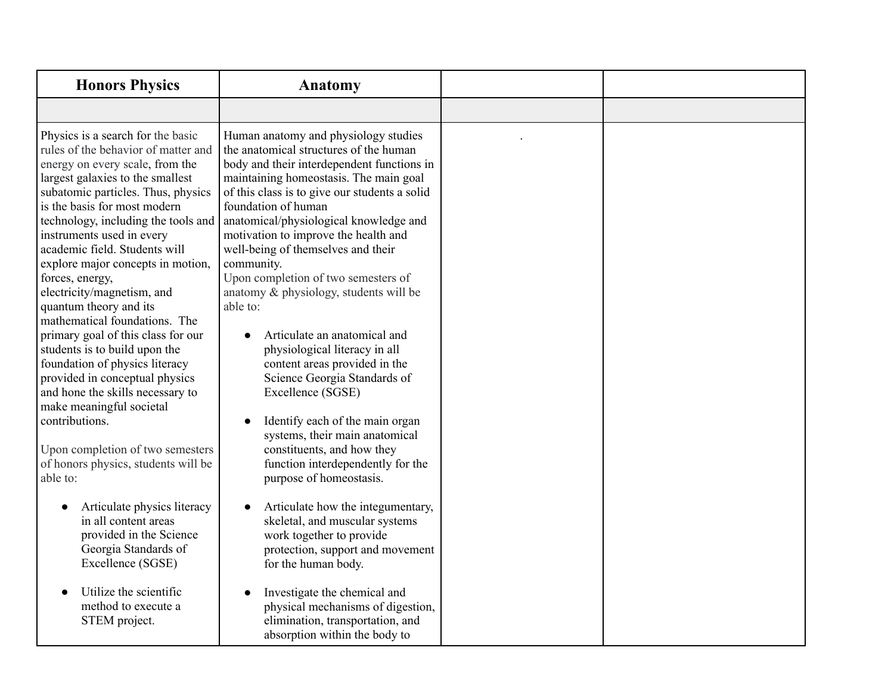| <b>Honors Physics</b>                                                                                                                                                                                                                                                                                                                                                                                                                                                                                                                                                                                                                                                                                                                                                                           | Anatomy                                                                                                                                                                                                                                                                                                                                                                                                                                                                                                                                                                                                                                                                                                                                                                                                                  |  |
|-------------------------------------------------------------------------------------------------------------------------------------------------------------------------------------------------------------------------------------------------------------------------------------------------------------------------------------------------------------------------------------------------------------------------------------------------------------------------------------------------------------------------------------------------------------------------------------------------------------------------------------------------------------------------------------------------------------------------------------------------------------------------------------------------|--------------------------------------------------------------------------------------------------------------------------------------------------------------------------------------------------------------------------------------------------------------------------------------------------------------------------------------------------------------------------------------------------------------------------------------------------------------------------------------------------------------------------------------------------------------------------------------------------------------------------------------------------------------------------------------------------------------------------------------------------------------------------------------------------------------------------|--|
|                                                                                                                                                                                                                                                                                                                                                                                                                                                                                                                                                                                                                                                                                                                                                                                                 |                                                                                                                                                                                                                                                                                                                                                                                                                                                                                                                                                                                                                                                                                                                                                                                                                          |  |
| Physics is a search for the basic<br>rules of the behavior of matter and<br>energy on every scale, from the<br>largest galaxies to the smallest<br>subatomic particles. Thus, physics<br>is the basis for most modern<br>technology, including the tools and<br>instruments used in every<br>academic field. Students will<br>explore major concepts in motion,<br>forces, energy,<br>electricity/magnetism, and<br>quantum theory and its<br>mathematical foundations. The<br>primary goal of this class for our<br>students is to build upon the<br>foundation of physics literacy<br>provided in conceptual physics<br>and hone the skills necessary to<br>make meaningful societal<br>contributions.<br>Upon completion of two semesters<br>of honors physics, students will be<br>able to: | Human anatomy and physiology studies<br>the anatomical structures of the human<br>body and their interdependent functions in<br>maintaining homeostasis. The main goal<br>of this class is to give our students a solid<br>foundation of human<br>anatomical/physiological knowledge and<br>motivation to improve the health and<br>well-being of themselves and their<br>community.<br>Upon completion of two semesters of<br>anatomy & physiology, students will be<br>able to:<br>Articulate an anatomical and<br>$\bullet$<br>physiological literacy in all<br>content areas provided in the<br>Science Georgia Standards of<br>Excellence (SGSE)<br>Identify each of the main organ<br>systems, their main anatomical<br>constituents, and how they<br>function interdependently for the<br>purpose of homeostasis. |  |
| Articulate physics literacy<br>in all content areas<br>provided in the Science<br>Georgia Standards of<br>Excellence (SGSE)                                                                                                                                                                                                                                                                                                                                                                                                                                                                                                                                                                                                                                                                     | Articulate how the integumentary,<br>skeletal, and muscular systems<br>work together to provide<br>protection, support and movement<br>for the human body.                                                                                                                                                                                                                                                                                                                                                                                                                                                                                                                                                                                                                                                               |  |
| Utilize the scientific<br>method to execute a<br>STEM project.                                                                                                                                                                                                                                                                                                                                                                                                                                                                                                                                                                                                                                                                                                                                  | Investigate the chemical and<br>physical mechanisms of digestion,<br>elimination, transportation, and<br>absorption within the body to                                                                                                                                                                                                                                                                                                                                                                                                                                                                                                                                                                                                                                                                                   |  |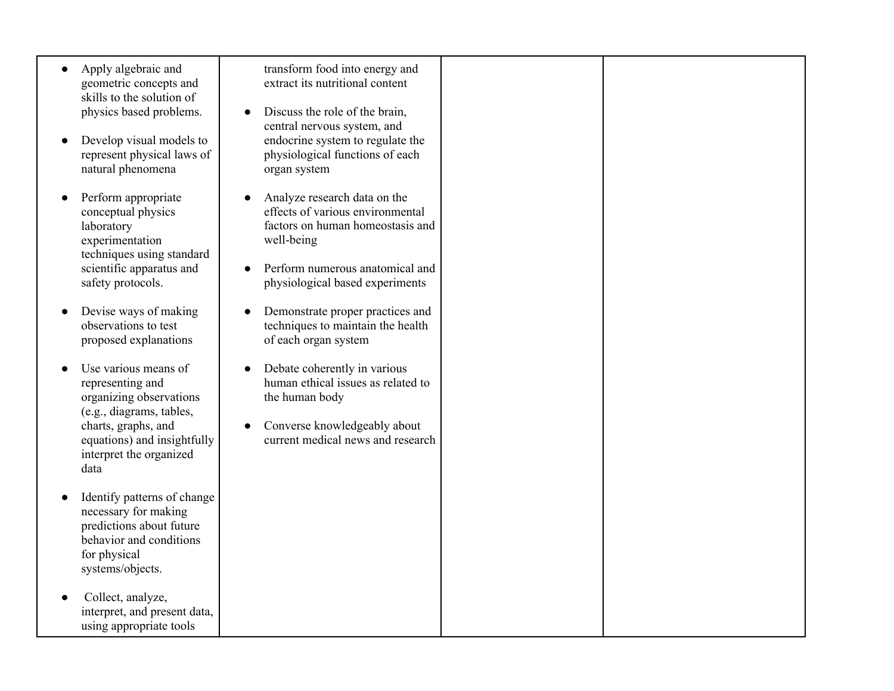- Apply algebraic and geometric concepts and skills to the solution of physics based problems.
- Develop visual models to represent physical laws of natural phenomena
- Perform appropriate conceptual physics laboratory experimentation techniques using standard scientific apparatus and safety protocols.
- Devise ways of making observations to test proposed explanations
- Use various means of representing and organizing observations (e.g., diagrams, tables, charts, graphs, and equations) and insightfully interpret the organized data
- Identify patterns of change necessary for making predictions about future behavior and conditions for physical systems/objects.
- Collect, analyze, interpret, and present data, using appropriate tools

transform food into energy and extract its nutritional content

- Discuss the role of the brain. central nervous system, and endocrine system to regulate the physiological functions of each organ system
- Analyze research data on the effects of various environmental factors on human homeostasis and well-being
- Perform numerous anatomical and physiological based experiments
- Demonstrate proper practices and techniques to maintain the health of each organ system
- Debate coherently in various human ethical issues as related to the human body
- Converse knowledgeably about current medical news and research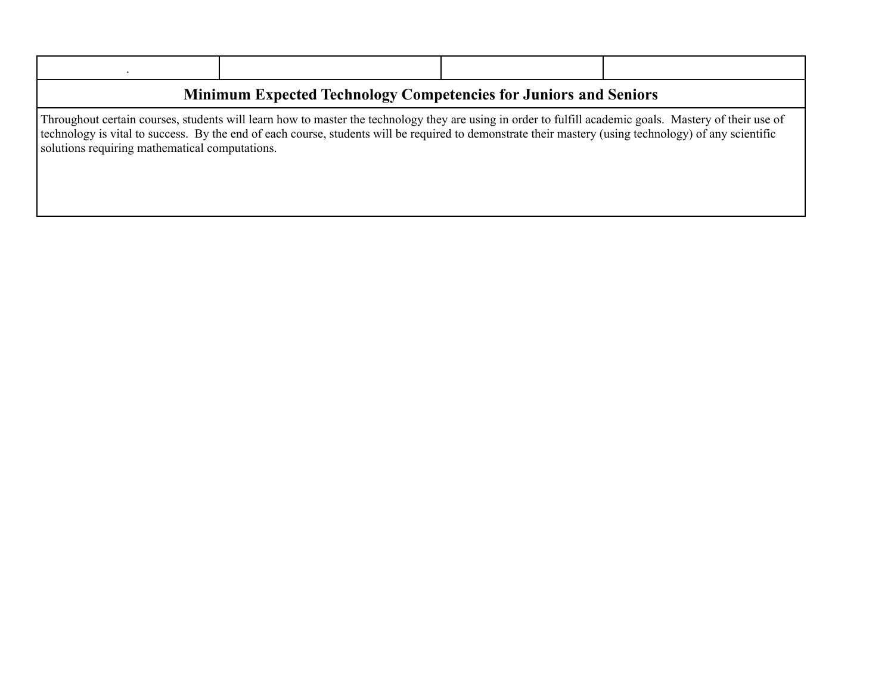| <b>Minimum Expected Technology Competencies for Juniors and Seniors</b> |                                                                                                                                                                                                                                                                                                                   |  |  |  |
|-------------------------------------------------------------------------|-------------------------------------------------------------------------------------------------------------------------------------------------------------------------------------------------------------------------------------------------------------------------------------------------------------------|--|--|--|
| solutions requiring mathematical computations.                          | Throughout certain courses, students will learn how to master the technology they are using in order to fulfill academic goals. Mastery of their use of<br>technology is vital to success. By the end of each course, students will be required to demonstrate their mastery (using technology) of any scientific |  |  |  |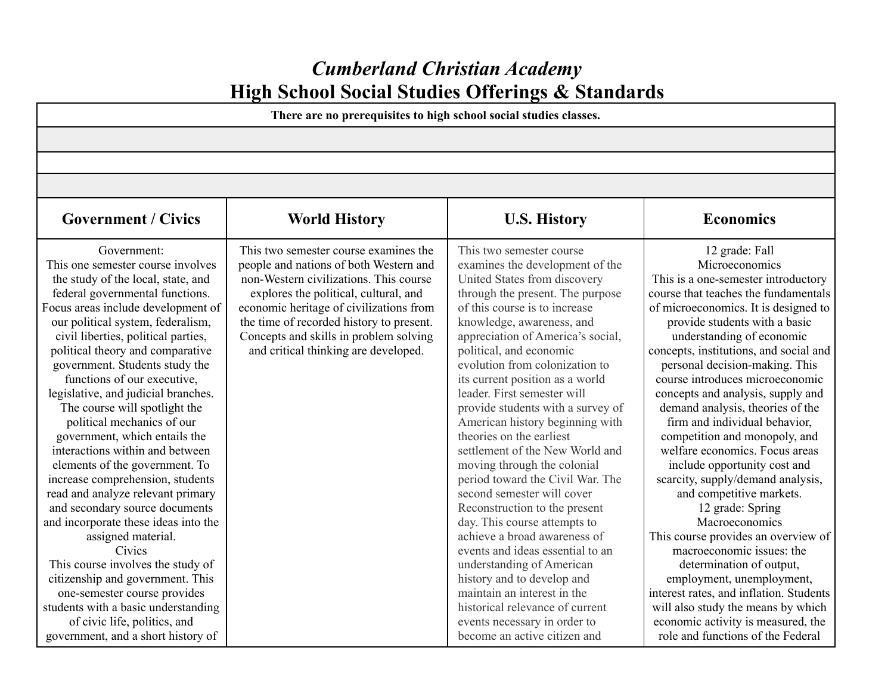# *Cumberland Christian Academy* **High School Social Studies Offerings & Standards**

**There are no prerequisites to high school social studies classes.**

| <b>Government / Civics</b>                                                                                                                                                                                                                                                                                                                                                                                                                                                                                                                                                                                                                                                                                                                                                                                                                                                                                                                                            | <b>World History</b>                                                                                                                                                                                                                                                                                                                        | <b>U.S. History</b>                                                                                                                                                                                                                                                                                                                                                                                                                                                                                                                                                                                                                                                                                                                                                                                                                                                                                                                          | <b>Economics</b>                                                                                                                                                                                                                                                                                                                                                                                                                                                                                                                                                                                                                                                                                                                                                                                                                                                                                                                                  |
|-----------------------------------------------------------------------------------------------------------------------------------------------------------------------------------------------------------------------------------------------------------------------------------------------------------------------------------------------------------------------------------------------------------------------------------------------------------------------------------------------------------------------------------------------------------------------------------------------------------------------------------------------------------------------------------------------------------------------------------------------------------------------------------------------------------------------------------------------------------------------------------------------------------------------------------------------------------------------|---------------------------------------------------------------------------------------------------------------------------------------------------------------------------------------------------------------------------------------------------------------------------------------------------------------------------------------------|----------------------------------------------------------------------------------------------------------------------------------------------------------------------------------------------------------------------------------------------------------------------------------------------------------------------------------------------------------------------------------------------------------------------------------------------------------------------------------------------------------------------------------------------------------------------------------------------------------------------------------------------------------------------------------------------------------------------------------------------------------------------------------------------------------------------------------------------------------------------------------------------------------------------------------------------|---------------------------------------------------------------------------------------------------------------------------------------------------------------------------------------------------------------------------------------------------------------------------------------------------------------------------------------------------------------------------------------------------------------------------------------------------------------------------------------------------------------------------------------------------------------------------------------------------------------------------------------------------------------------------------------------------------------------------------------------------------------------------------------------------------------------------------------------------------------------------------------------------------------------------------------------------|
| Government:<br>This one semester course involves<br>the study of the local, state, and<br>federal governmental functions.<br>Focus areas include development of<br>our political system, federalism,<br>civil liberties, political parties,<br>political theory and comparative<br>government. Students study the<br>functions of our executive,<br>legislative, and judicial branches.<br>The course will spotlight the<br>political mechanics of our<br>government, which entails the<br>interactions within and between<br>elements of the government. To<br>increase comprehension, students<br>read and analyze relevant primary<br>and secondary source documents<br>and incorporate these ideas into the<br>assigned material.<br>Civics<br>This course involves the study of<br>citizenship and government. This<br>one-semester course provides<br>students with a basic understanding<br>of civic life, politics, and<br>government, and a short history of | This two semester course examines the<br>people and nations of both Western and<br>non-Western civilizations. This course<br>explores the political, cultural, and<br>economic heritage of civilizations from<br>the time of recorded history to present.<br>Concepts and skills in problem solving<br>and critical thinking are developed. | This two semester course.<br>examines the development of the<br>United States from discovery<br>through the present. The purpose<br>of this course is to increase<br>knowledge, awareness, and<br>appreciation of America's social,<br>political, and economic<br>evolution from colonization to<br>its current position as a world<br>leader. First semester will<br>provide students with a survey of<br>American history beginning with<br>theories on the earliest<br>settlement of the New World and<br>moving through the colonial<br>period toward the Civil War. The<br>second semester will cover<br>Reconstruction to the present<br>day. This course attempts to<br>achieve a broad awareness of<br>events and ideas essential to an<br>understanding of American<br>history and to develop and<br>maintain an interest in the<br>historical relevance of current<br>events necessary in order to<br>become an active citizen and | 12 grade: Fall<br>Microeconomics<br>This is a one-semester introductory<br>course that teaches the fundamentals<br>of microeconomics. It is designed to<br>provide students with a basic<br>understanding of economic<br>concepts, institutions, and social and<br>personal decision-making. This<br>course introduces microeconomic<br>concepts and analysis, supply and<br>demand analysis, theories of the<br>firm and individual behavior,<br>competition and monopoly, and<br>welfare economics. Focus areas<br>include opportunity cost and<br>scarcity, supply/demand analysis,<br>and competitive markets.<br>12 grade: Spring<br>Macroeconomics<br>This course provides an overview of<br>macroeconomic issues: the<br>determination of output,<br>employment, unemployment,<br>interest rates, and inflation. Students<br>will also study the means by which<br>economic activity is measured, the<br>role and functions of the Federal |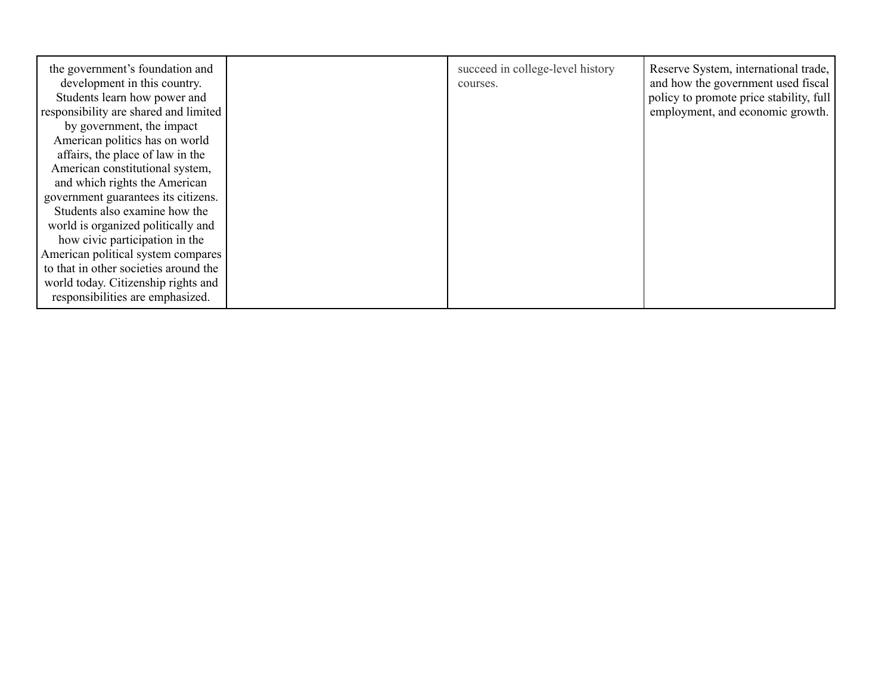| the government's foundation and<br>development in this country.<br>Students learn how power and<br>responsibility are shared and limited | succeed in college-level history<br>courses. | Reserve System, international trade,<br>and how the government used fiscal<br>policy to promote price stability, full<br>employment, and economic growth. |
|------------------------------------------------------------------------------------------------------------------------------------------|----------------------------------------------|-----------------------------------------------------------------------------------------------------------------------------------------------------------|
| by government, the impact                                                                                                                |                                              |                                                                                                                                                           |
| American politics has on world                                                                                                           |                                              |                                                                                                                                                           |
| affairs, the place of law in the                                                                                                         |                                              |                                                                                                                                                           |
| American constitutional system,                                                                                                          |                                              |                                                                                                                                                           |
| and which rights the American                                                                                                            |                                              |                                                                                                                                                           |
| government guarantees its citizens.                                                                                                      |                                              |                                                                                                                                                           |
| Students also examine how the                                                                                                            |                                              |                                                                                                                                                           |
| world is organized politically and                                                                                                       |                                              |                                                                                                                                                           |
| how civic participation in the                                                                                                           |                                              |                                                                                                                                                           |
| American political system compares                                                                                                       |                                              |                                                                                                                                                           |
| to that in other societies around the                                                                                                    |                                              |                                                                                                                                                           |
| world today. Citizenship rights and                                                                                                      |                                              |                                                                                                                                                           |
| responsibilities are emphasized.                                                                                                         |                                              |                                                                                                                                                           |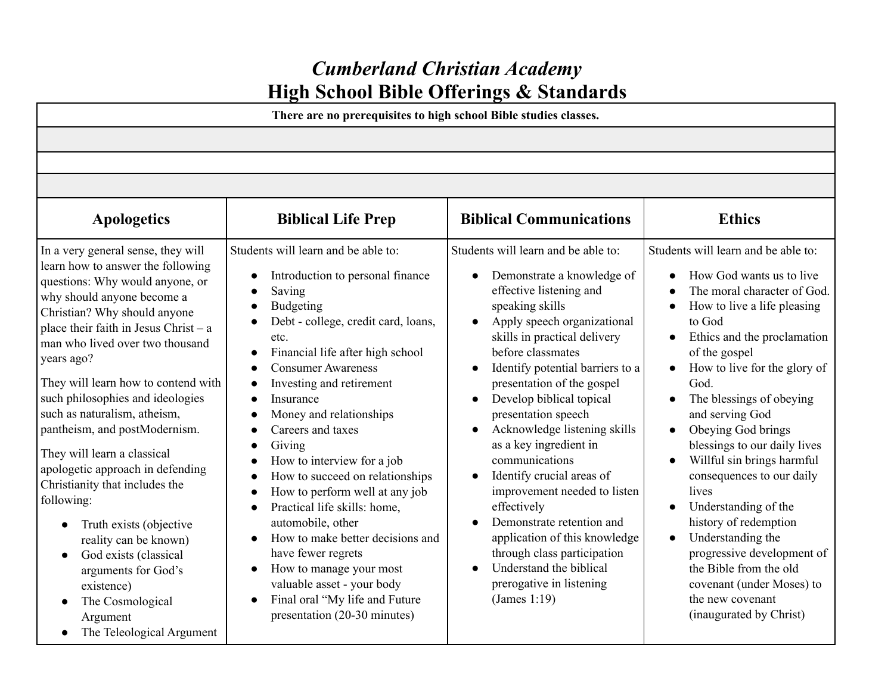# *Cumberland Christian Academy* **High School Bible Offerings & Standards**

**There are no prerequisites to high school Bible studies classes.**

| <b>Apologetics</b>                                                                                                                                                                                                                                                                                                                                                                                                                                                                                                                                                                                                                                                                                                                           | <b>Biblical Life Prep</b>                                                                                                                                                                                                                                                                                                                                                                                                                                                                                                                                                                                                                                                                                                                                        | <b>Biblical Communications</b>                                                                                                                                                                                                                                                                                                                                                                                                                                                                                                                                                                                                                                    | <b>Ethics</b>                                                                                                                                                                                                                                                                                                                                                                                                                                                                                                                                                                                                                                                          |
|----------------------------------------------------------------------------------------------------------------------------------------------------------------------------------------------------------------------------------------------------------------------------------------------------------------------------------------------------------------------------------------------------------------------------------------------------------------------------------------------------------------------------------------------------------------------------------------------------------------------------------------------------------------------------------------------------------------------------------------------|------------------------------------------------------------------------------------------------------------------------------------------------------------------------------------------------------------------------------------------------------------------------------------------------------------------------------------------------------------------------------------------------------------------------------------------------------------------------------------------------------------------------------------------------------------------------------------------------------------------------------------------------------------------------------------------------------------------------------------------------------------------|-------------------------------------------------------------------------------------------------------------------------------------------------------------------------------------------------------------------------------------------------------------------------------------------------------------------------------------------------------------------------------------------------------------------------------------------------------------------------------------------------------------------------------------------------------------------------------------------------------------------------------------------------------------------|------------------------------------------------------------------------------------------------------------------------------------------------------------------------------------------------------------------------------------------------------------------------------------------------------------------------------------------------------------------------------------------------------------------------------------------------------------------------------------------------------------------------------------------------------------------------------------------------------------------------------------------------------------------------|
| In a very general sense, they will<br>learn how to answer the following<br>questions: Why would anyone, or<br>why should anyone become a<br>Christian? Why should anyone<br>place their faith in Jesus Christ – $a$<br>man who lived over two thousand<br>years ago?<br>They will learn how to contend with<br>such philosophies and ideologies<br>such as naturalism, atheism,<br>pantheism, and postModernism.<br>They will learn a classical<br>apologetic approach in defending<br>Christianity that includes the<br>following:<br>Truth exists (objective<br>$\bullet$<br>reality can be known)<br>God exists (classical<br>arguments for God's<br>existence)<br>The Cosmological<br>$\bullet$<br>Argument<br>The Teleological Argument | Students will learn and be able to:<br>Introduction to personal finance<br>$\bullet$<br>Saving<br><b>Budgeting</b><br>Debt - college, credit card, loans,<br>etc.<br>Financial life after high school<br>$\bullet$<br><b>Consumer Awareness</b><br>$\bullet$<br>Investing and retirement<br>$\bullet$<br>Insurance<br>Money and relationships<br>Careers and taxes<br>Giving<br>How to interview for a job<br>How to succeed on relationships<br>How to perform well at any job<br>$\bullet$<br>Practical life skills: home,<br>$\bullet$<br>automobile, other<br>How to make better decisions and<br>$\bullet$<br>have fewer regrets<br>How to manage your most<br>valuable asset - your body<br>Final oral "My life and Future<br>presentation (20-30 minutes) | Students will learn and be able to:<br>Demonstrate a knowledge of<br>effective listening and<br>speaking skills<br>Apply speech organizational<br>skills in practical delivery<br>before classmates<br>Identify potential barriers to a<br>presentation of the gospel<br>Develop biblical topical<br>presentation speech<br>Acknowledge listening skills<br>$\bullet$<br>as a key ingredient in<br>communications<br>Identify crucial areas of<br>improvement needed to listen<br>effectively<br>Demonstrate retention and<br>application of this knowledge<br>through class participation<br>Understand the biblical<br>prerogative in listening<br>(James 1:19) | Students will learn and be able to:<br>How God wants us to live<br>The moral character of God.<br>How to live a life pleasing<br>$\bullet$<br>to God<br>Ethics and the proclamation<br>of the gospel<br>How to live for the glory of<br>$\bullet$<br>God.<br>The blessings of obeying<br>and serving God<br>Obeying God brings<br>$\bullet$<br>blessings to our daily lives<br>Willful sin brings harmful<br>consequences to our daily<br>lives<br>Understanding of the<br>history of redemption<br>Understanding the<br>$\bullet$<br>progressive development of<br>the Bible from the old<br>covenant (under Moses) to<br>the new covenant<br>(inaugurated by Christ) |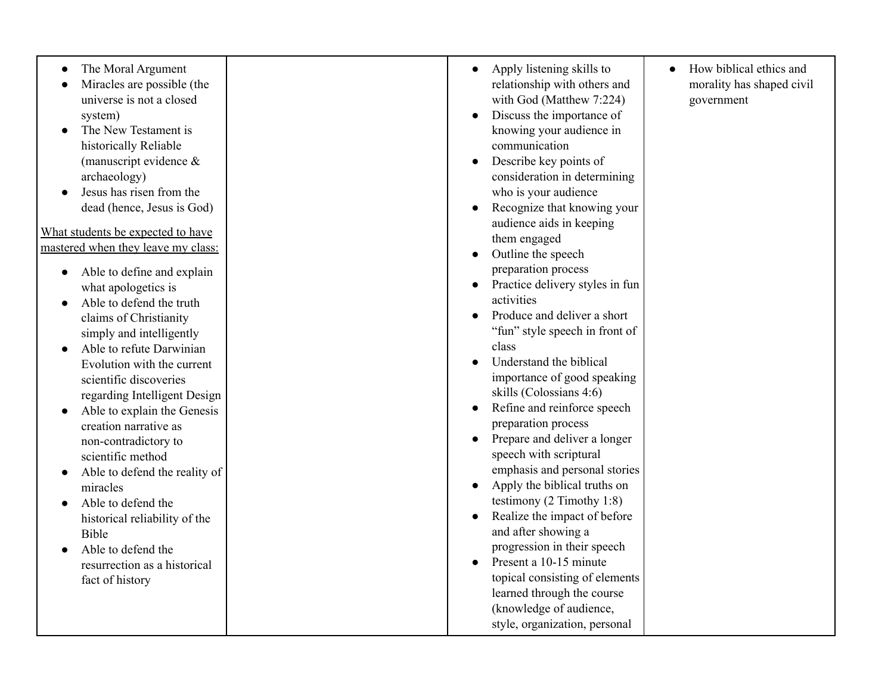| The Moral Argument<br>Miracles are possible (the<br>universe is not a closed<br>system)<br>The New Testament is<br>historically Reliable<br>(manuscript evidence &<br>archaeology)<br>Jesus has risen from the<br>dead (hence, Jesus is God)<br>What students be expected to have<br>mastered when they leave my class:<br>Able to define and explain<br>what apologetics is<br>Able to defend the truth<br>claims of Christianity<br>simply and intelligently<br>Able to refute Darwinian<br>Evolution with the current<br>scientific discoveries<br>regarding Intelligent Design<br>Able to explain the Genesis<br>creation narrative as<br>non-contradictory to<br>scientific method<br>Able to defend the reality of<br>miracles<br>Able to defend the<br>historical reliability of the<br>Bible<br>Able to defend the<br>resurrection as a historical<br>fact of history | Apply listening skills to<br>$\bullet$<br>relationship with others and<br>with God (Matthew 7:224)<br>Discuss the importance of<br>knowing your audience in<br>communication<br>Describe key points of<br>consideration in determining<br>who is your audience<br>Recognize that knowing your<br>audience aids in keeping<br>them engaged<br>Outline the speech<br>preparation process<br>Practice delivery styles in fun<br>activities<br>Produce and deliver a short<br>"fun" style speech in front of<br>class<br>Understand the biblical<br>importance of good speaking<br>skills (Colossians 4:6)<br>Refine and reinforce speech<br>preparation process<br>Prepare and deliver a longer<br>speech with scriptural<br>emphasis and personal stories<br>Apply the biblical truths on<br>testimony $(2$ Timothy 1:8)<br>Realize the impact of before<br>and after showing a<br>progression in their speech<br>Present a 10-15 minute<br>topical consisting of elements<br>learned through the course<br>(knowledge of audience,<br>style, organization, personal | How biblical ethics and<br>morality has shaped civil<br>government |
|-------------------------------------------------------------------------------------------------------------------------------------------------------------------------------------------------------------------------------------------------------------------------------------------------------------------------------------------------------------------------------------------------------------------------------------------------------------------------------------------------------------------------------------------------------------------------------------------------------------------------------------------------------------------------------------------------------------------------------------------------------------------------------------------------------------------------------------------------------------------------------|--------------------------------------------------------------------------------------------------------------------------------------------------------------------------------------------------------------------------------------------------------------------------------------------------------------------------------------------------------------------------------------------------------------------------------------------------------------------------------------------------------------------------------------------------------------------------------------------------------------------------------------------------------------------------------------------------------------------------------------------------------------------------------------------------------------------------------------------------------------------------------------------------------------------------------------------------------------------------------------------------------------------------------------------------------------------|--------------------------------------------------------------------|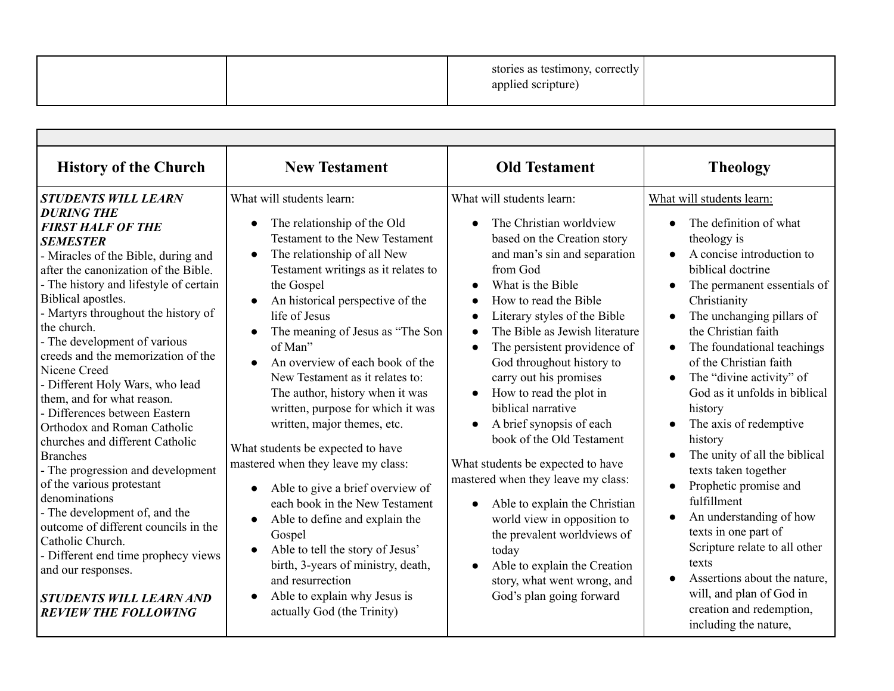|  | stories as testimony, correctly<br>applied scripture) |  |
|--|-------------------------------------------------------|--|
|--|-------------------------------------------------------|--|

| <b>History of the Church</b>                                                                                                                                                                                                                                                                                                                                                                                                                                                                                                                                                                                                                                                                                                                                                                                                                                                                   | <b>New Testament</b>                                                                                                                                                                                                                                                                                                                                                                                                                                                                                                                                                                                                                                                                                                                                                                                                                                                                                                                    | <b>Old Testament</b>                                                                                                                                                                                                                                                                                                                                                                                                                                                                                                                                                                                                                                                                                                                                                  | <b>Theology</b>                                                                                                                                                                                                                                                                                                                                                                                                                                                                                                                                                                                                                                                                                                                                                 |
|------------------------------------------------------------------------------------------------------------------------------------------------------------------------------------------------------------------------------------------------------------------------------------------------------------------------------------------------------------------------------------------------------------------------------------------------------------------------------------------------------------------------------------------------------------------------------------------------------------------------------------------------------------------------------------------------------------------------------------------------------------------------------------------------------------------------------------------------------------------------------------------------|-----------------------------------------------------------------------------------------------------------------------------------------------------------------------------------------------------------------------------------------------------------------------------------------------------------------------------------------------------------------------------------------------------------------------------------------------------------------------------------------------------------------------------------------------------------------------------------------------------------------------------------------------------------------------------------------------------------------------------------------------------------------------------------------------------------------------------------------------------------------------------------------------------------------------------------------|-----------------------------------------------------------------------------------------------------------------------------------------------------------------------------------------------------------------------------------------------------------------------------------------------------------------------------------------------------------------------------------------------------------------------------------------------------------------------------------------------------------------------------------------------------------------------------------------------------------------------------------------------------------------------------------------------------------------------------------------------------------------------|-----------------------------------------------------------------------------------------------------------------------------------------------------------------------------------------------------------------------------------------------------------------------------------------------------------------------------------------------------------------------------------------------------------------------------------------------------------------------------------------------------------------------------------------------------------------------------------------------------------------------------------------------------------------------------------------------------------------------------------------------------------------|
| <b>STUDENTS WILL LEARN</b><br><b>DURING THE</b><br><b>FIRST HALF OF THE</b><br><b>SEMESTER</b><br>- Miracles of the Bible, during and<br>after the canonization of the Bible.<br>- The history and lifestyle of certain<br>Biblical apostles.<br>- Martyrs throughout the history of<br>the church.<br>- The development of various<br>creeds and the memorization of the<br>Nicene Creed<br>- Different Holy Wars, who lead<br>them, and for what reason.<br>- Differences between Eastern<br>Orthodox and Roman Catholic<br>churches and different Catholic<br><b>Branches</b><br>- The progression and development<br>of the various protestant<br>denominations<br>- The development of, and the<br>outcome of different councils in the<br>Catholic Church.<br>- Different end time prophecy views<br>and our responses.<br><b>STUDENTS WILL LEARN AND</b><br><b>REVIEW THE FOLLOWING</b> | What will students learn:<br>The relationship of the Old<br>$\bullet$<br><b>Testament to the New Testament</b><br>The relationship of all New<br>$\bullet$<br>Testament writings as it relates to<br>the Gospel<br>An historical perspective of the<br>$\bullet$<br>life of Jesus<br>The meaning of Jesus as "The Son<br>of Man"<br>An overview of each book of the<br>$\bullet$<br>New Testament as it relates to:<br>The author, history when it was<br>written, purpose for which it was<br>written, major themes, etc.<br>What students be expected to have<br>mastered when they leave my class:<br>Able to give a brief overview of<br>$\bullet$<br>each book in the New Testament<br>Able to define and explain the<br>$\bullet$<br>Gospel<br>Able to tell the story of Jesus'<br>$\bullet$<br>birth, 3-years of ministry, death,<br>and resurrection<br>Able to explain why Jesus is<br>$\bullet$<br>actually God (the Trinity) | What will students learn:<br>The Christian worldview<br>based on the Creation story<br>and man's sin and separation<br>from God<br>What is the Bible<br>How to read the Bible<br>Literary styles of the Bible<br>The Bible as Jewish literature<br>The persistent providence of<br>$\bullet$<br>God throughout history to<br>carry out his promises<br>How to read the plot in<br>biblical narrative<br>A brief synopsis of each<br>$\bullet$<br>book of the Old Testament<br>What students be expected to have<br>mastered when they leave my class:<br>Able to explain the Christian<br>$\bullet$<br>world view in opposition to<br>the prevalent worldviews of<br>today<br>Able to explain the Creation<br>story, what went wrong, and<br>God's plan going forward | What will students learn:<br>The definition of what<br>theology is<br>A concise introduction to<br>$\bullet$<br>biblical doctrine<br>The permanent essentials of<br>$\bullet$<br>Christianity<br>The unchanging pillars of<br>the Christian faith<br>The foundational teachings<br>$\bullet$<br>of the Christian faith<br>The "divine activity" of<br>God as it unfolds in biblical<br>history<br>The axis of redemptive<br>history<br>The unity of all the biblical<br>texts taken together<br>Prophetic promise and<br>$\bullet$<br>fulfillment<br>An understanding of how<br>texts in one part of<br>Scripture relate to all other<br>texts<br>Assertions about the nature,<br>will, and plan of God in<br>creation and redemption,<br>including the nature, |